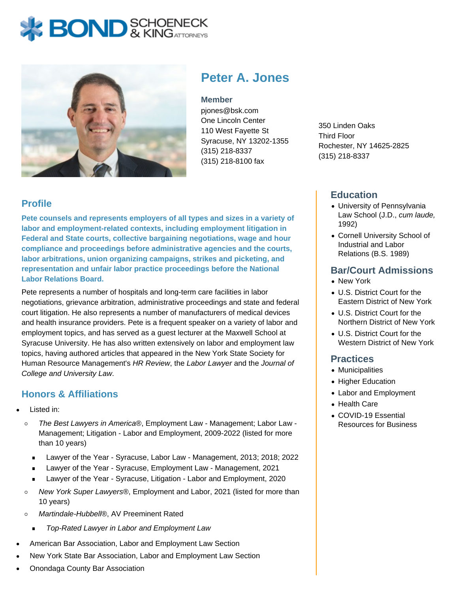# **BOND** & KING ATTORNECK



**Peter A. Jones**

#### **Member**

pjones@bsk.com One Lincoln Center 110 West Fayette St Syracuse, NY 13202-1355 (315) 218-8337 (315) 218-8100 fax

350 Linden Oaks Third Floor Rochester, NY 14625-2825 (315) 218-8337

## **Education**

- University of Pennsylvania Law School (J.D., cum laude, 1992)
- Cornell University School of Industrial and Labor Relations (B.S. 1989)

#### **Bar/Court Admissions**

- New York
- U.S. District Court for the Eastern District of New York
- U.S. District Court for the Northern District of New York
- U.S. District Court for the Western District of New York

#### **Practices**

- Municipalities
- Higher Education
- Labor and Employment
- Health Care
- COVID-19 Essential Resources for Business

## **Profile**

**Pete counsels and represents employers of all types and sizes in a variety of labor and employment-related contexts, including employment litigation in Federal and State courts, collective bargaining negotiations, wage and hour compliance and proceedings before administrative agencies and the courts, labor arbitrations, union organizing campaigns, strikes and picketing, and representation and unfair labor practice proceedings before the National Labor Relations Board.**

Pete represents a number of hospitals and long-term care facilities in labor negotiations, grievance arbitration, administrative proceedings and state and federal court litigation. He also represents a number of manufacturers of medical devices and health insurance providers. Pete is a frequent speaker on a variety of labor and employment topics, and has served as a guest lecturer at the Maxwell School at Syracuse University. He has also written extensively on labor and employment law topics, having authored articles that appeared in the New York State Society for Human Resource Management's HR Review, the Labor Lawyer and the Journal of College and University Law.

## **Honors & Affiliations**

- Listed in:
	- $\circ$ The Best Lawyers in America®, Employment Law - Management; Labor Law - Management; Litigation - Labor and Employment, 2009-2022 (listed for more than 10 years)
		- Lawyer of the Year Syracuse, Labor Law Management, 2013; 2018; 2022  $\blacksquare$
		- Lawyer of the Year Syracuse, Employment Law Management, 2021
	- Lawyer of the Year Syracuse, Litigation Labor and Employment, 2020  $\blacksquare$
	- New York Super Lawyers®, Employment and Labor, 2021 (listed for more than  $\circ$ 10 years)
	- $\circ$ Martindale-Hubbell®, AV Preeminent Rated
		- Top-Rated Lawyer in Labor and Employment Law  $\blacksquare$
- American Bar Association, Labor and Employment Law Section
- New York State Bar Association, Labor and Employment Law Section
- Onondaga County Bar Association